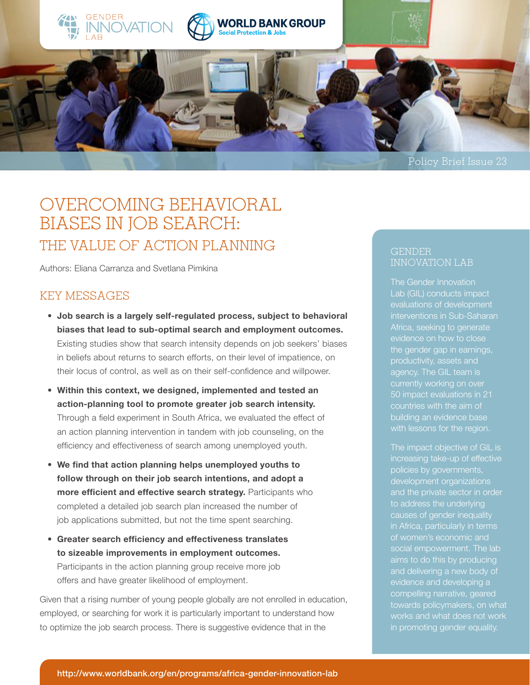





# OVERCOMING BEHAVIORAL BIASES IN JOB SEARCH: THE VALUE OF ACTION PLANNING

Authors: Eliana Carranza and Svetlana Pimkina

## KEY MESSAGES

- **Job search is a largely self-regulated process, subject to behavioral biases that lead to sub-optimal search and employment outcomes.** Existing studies show that search intensity depends on job seekers' biases in beliefs about returns to search efforts, on their level of impatience, on their locus of control, as well as on their self-confidence and willpower.
- **Within this context, we designed, implemented and tested an action-planning tool to promote greater job search intensity.**  Through a field experiment in South Africa, we evaluated the effect of an action planning intervention in tandem with job counseling, on the efficiency and effectiveness of search among unemployed youth.
- **We find that action planning helps unemployed youths to follow through on their job search intentions, and adopt a more efficient and effective search strategy.** Participants who completed a detailed job search plan increased the number of job applications submitted, but not the time spent searching.
- **Greater search efficiency and effectiveness translates to sizeable improvements in employment outcomes.**  Participants in the action planning group receive more job offers and have greater likelihood of employment.

Given that a rising number of young people globally are not enrolled in education, employed, or searching for work it is particularly important to understand how to optimize the job search process. There is suggestive evidence that in the

#### GENDER INNOVATION LAB

The Gender Innovation Lab (GIL) conducts impact interventions in Sub-Saharan the gender gap in earnings, agency. The GIL team is 50 impact evaluations in 21 countries with the aim of building an evidence base with lessons for the region.

The impact objective of GIL is increasing take-up of effective development organizations to address the underlying causes of gender inequality in Africa, particularly in terms aims to do this by producing evidence and developing a towards policymakers, on what works and what does not work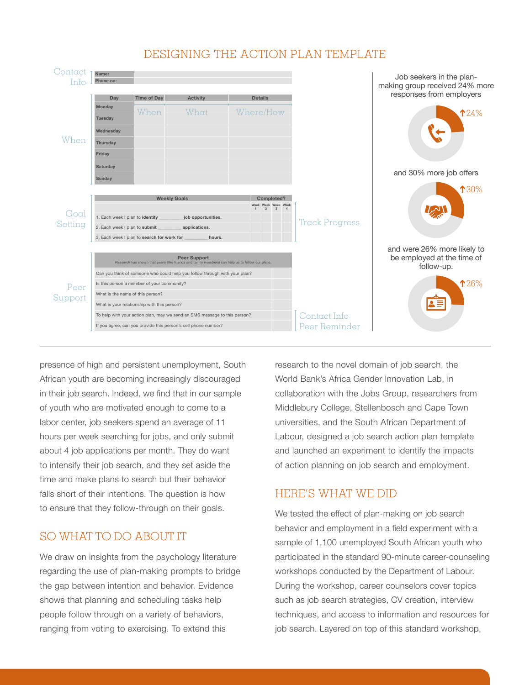

## DESIGNING THE ACTION PLAN TEMPLATE

presence of high and persistent unemployment, South African youth are becoming increasingly discouraged in their job search. Indeed, we find that in our sample of youth who are motivated enough to come to a labor center, job seekers spend an average of 11 hours per week searching for jobs, and only submit about 4 job applications per month. They do want to intensify their job search, and they set aside the time and make plans to search but their behavior falls short of their intentions. The question is how to ensure that they follow-through on their goals.

## SO WHAT TO DO ABOUT IT

We draw on insights from the psychology literature regarding the use of plan-making prompts to bridge the gap between intention and behavior. Evidence shows that planning and scheduling tasks help people follow through on a variety of behaviors, ranging from voting to exercising. To extend this

research to the novel domain of job search, the World Bank's Africa Gender Innovation Lab, in collaboration with the Jobs Group, researchers from Middlebury College, Stellenbosch and Cape Town universities, and the South African Department of Labour, designed a job search action plan template and launched an experiment to identify the impacts of action planning on job search and employment.

## HERE'S WHAT WE DID

We tested the effect of plan-making on job search behavior and employment in a field experiment with a sample of 1,100 unemployed South African youth who participated in the standard 90-minute career-counseling workshops conducted by the Department of Labour. During the workshop, career counselors cover topics such as job search strategies, CV creation, interview techniques, and access to information and resources for job search. Layered on top of this standard workshop,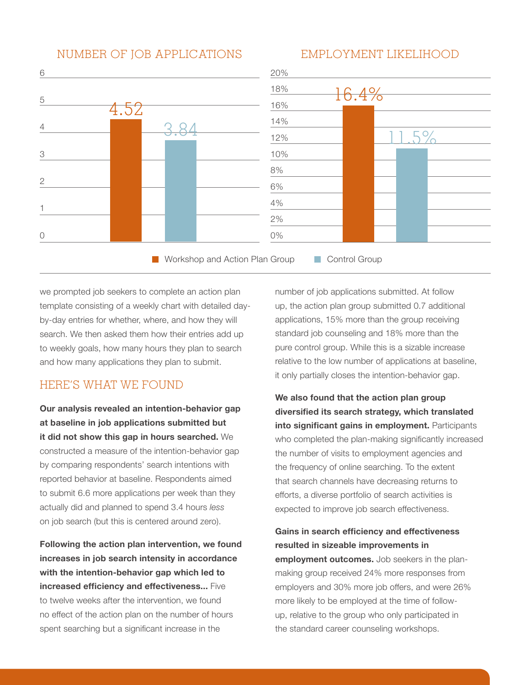#### NUMBER OF JOB APPLICATIONS

#### EMPLOYMENT LIKELIHOOD



we prompted job seekers to complete an action plan template consisting of a weekly chart with detailed dayby-day entries for whether, where, and how they will search. We then asked them how their entries add up to weekly goals, how many hours they plan to search and how many applications they plan to submit.

## HERE'S WHAT WE FOUND

**Our analysis revealed an intention-behavior gap at baseline in job applications submitted but it did not show this gap in hours searched.** We constructed a measure of the intention-behavior gap by comparing respondents' search intentions with reported behavior at baseline. Respondents aimed to submit 6.6 more applications per week than they actually did and planned to spend 3.4 hours *less* on job search (but this is centered around zero).

**Following the action plan intervention, we found increases in job search intensity in accordance with the intention-behavior gap which led to increased efficiency and effectiveness...** Five to twelve weeks after the intervention, we found no effect of the action plan on the number of hours spent searching but a significant increase in the

number of job applications submitted. At follow up, the action plan group submitted 0.7 additional applications, 15% more than the group receiving standard job counseling and 18% more than the pure control group. While this is a sizable increase relative to the low number of applications at baseline, it only partially closes the intention-behavior gap.

**We also found that the action plan group diversified its search strategy, which translated into significant gains in employment.** Participants who completed the plan-making significantly increased the number of visits to employment agencies and the frequency of online searching. To the extent that search channels have decreasing returns to efforts, a diverse portfolio of search activities is expected to improve job search effectiveness.

**Gains in search efficiency and effectiveness resulted in sizeable improvements in employment outcomes.** Job seekers in the planmaking group received 24% more responses from employers and 30% more job offers, and were 26% more likely to be employed at the time of followup, relative to the group who only participated in the standard career counseling workshops.